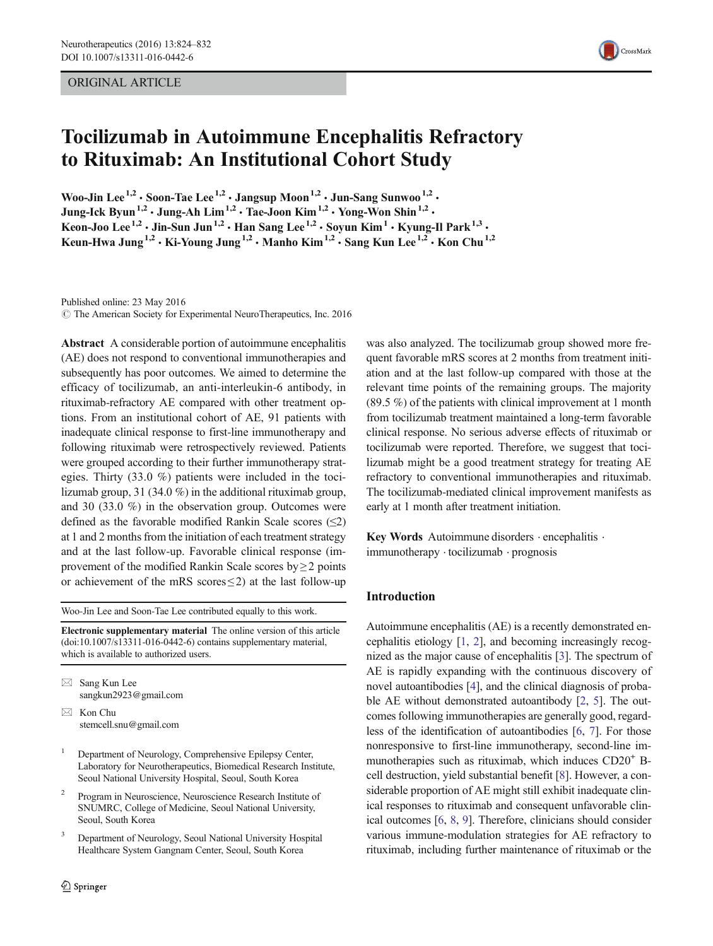## ORIGINAL ARTICLE



# Tocilizumab in Autoimmune Encephalitis Refractory to Rituximab: An Institutional Cohort Study

Woo-Jin Lee<sup>1,2</sup>  $\cdot$  Soon-Tae Lee<sup>1,2</sup>  $\cdot$  Jangsup Moon<sup>1,2</sup>  $\cdot$  Jun-Sang Sunwoo<sup>1,2</sup>  $\cdot$ Jung-Ick Byun<sup>1,2</sup>  $\cdot$  Jung-Ah Lim<sup>1,2</sup>  $\cdot$  Tae-Joon Kim<sup>1,2</sup>  $\cdot$  Yong-Won Shin<sup>1,2</sup>  $\cdot$ Keon-Joo Lee<sup>1,2</sup>  $\cdot$  Jin-Sun Jun<sup>1,2</sup>  $\cdot$  Han Sang Lee<sup>1,2</sup>  $\cdot$  Soyun Kim<sup>1</sup>  $\cdot$  Kyung-Il Park<sup>1,3</sup>  $\cdot$ Keun-Hwa Jung<sup>1,2</sup>  $\cdot$  Ki-Young Jung<sup>1,2</sup>  $\cdot$  Manho Kim<sup>1,2</sup>  $\cdot$  Sang Kun Lee<sup>1,2</sup>  $\cdot$  Kon Chu<sup>1,2</sup>

Published online: 23 May 2016 © The American Society for Experimental NeuroTherapeutics, Inc. 2016

Abstract A considerable portion of autoimmune encephalitis (AE) does not respond to conventional immunotherapies and subsequently has poor outcomes. We aimed to determine the efficacy of tocilizumab, an anti-interleukin-6 antibody, in rituximab-refractory AE compared with other treatment options. From an institutional cohort of AE, 91 patients with inadequate clinical response to first-line immunotherapy and following rituximab were retrospectively reviewed. Patients were grouped according to their further immunotherapy strategies. Thirty (33.0 %) patients were included in the tocilizumab group, 31 (34.0 %) in the additional rituximab group, and 30 (33.0 %) in the observation group. Outcomes were defined as the favorable modified Rankin Scale scores  $(\leq 2)$ at 1 and 2 months from the initiation of each treatment strategy and at the last follow-up. Favorable clinical response (improvement of the modified Rankin Scale scores by≥ 2 points or achievement of the mRS scores  $\leq$ 2) at the last follow-up

Woo-Jin Lee and Soon-Tae Lee contributed equally to this work.

Electronic supplementary material The online version of this article (doi[:10.1007/s13311-016-0442-6\)](http://dx.doi.org/10.1007/s13311-016-0442-6) contains supplementary material, which is available to authorized users.

 $\boxtimes$  Sang Kun Lee sangkun2923@gmail.com

 $\boxtimes$  Kon Chu stemcell.snu@gmail.com

- <sup>1</sup> Department of Neurology, Comprehensive Epilepsy Center, Laboratory for Neurotherapeutics, Biomedical Research Institute, Seoul National University Hospital, Seoul, South Korea
- <sup>2</sup> Program in Neuroscience, Neuroscience Research Institute of SNUMRC, College of Medicine, Seoul National University, Seoul, South Korea
- <sup>3</sup> Department of Neurology, Seoul National University Hospital Healthcare System Gangnam Center, Seoul, South Korea

was also analyzed. The tocilizumab group showed more frequent favorable mRS scores at 2 months from treatment initiation and at the last follow-up compared with those at the relevant time points of the remaining groups. The majority (89.5 %) of the patients with clinical improvement at 1 month from tocilizumab treatment maintained a long-term favorable clinical response. No serious adverse effects of rituximab or tocilizumab were reported. Therefore, we suggest that tocilizumab might be a good treatment strategy for treating AE refractory to conventional immunotherapies and rituximab. The tocilizumab-mediated clinical improvement manifests as early at 1 month after treatment initiation.

Key Words Autoimmune disorders · encephalitis · immunotherapy . tocilizumab . prognosis

# Introduction

Autoimmune encephalitis (AE) is a recently demonstrated encephalitis etiology [[1,](#page-7-0) [2](#page-7-0)], and becoming increasingly recognized as the major cause of encephalitis [\[3\]](#page-8-0). The spectrum of AE is rapidly expanding with the continuous discovery of novel autoantibodies [[4\]](#page-8-0), and the clinical diagnosis of probable AE without demonstrated autoantibody [[2,](#page-7-0) [5\]](#page-8-0). The outcomes following immunotherapies are generally good, regardless of the identification of autoantibodies [\[6](#page-8-0), [7](#page-8-0)]. For those nonresponsive to first-line immunotherapy, second-line immunotherapies such as rituximab, which induces CD20<sup>+</sup> Bcell destruction, yield substantial benefit [\[8](#page-8-0)]. However, a considerable proportion of AE might still exhibit inadequate clinical responses to rituximab and consequent unfavorable clinical outcomes [\[6,](#page-8-0) [8](#page-8-0), [9](#page-8-0)]. Therefore, clinicians should consider various immune-modulation strategies for AE refractory to rituximab, including further maintenance of rituximab or the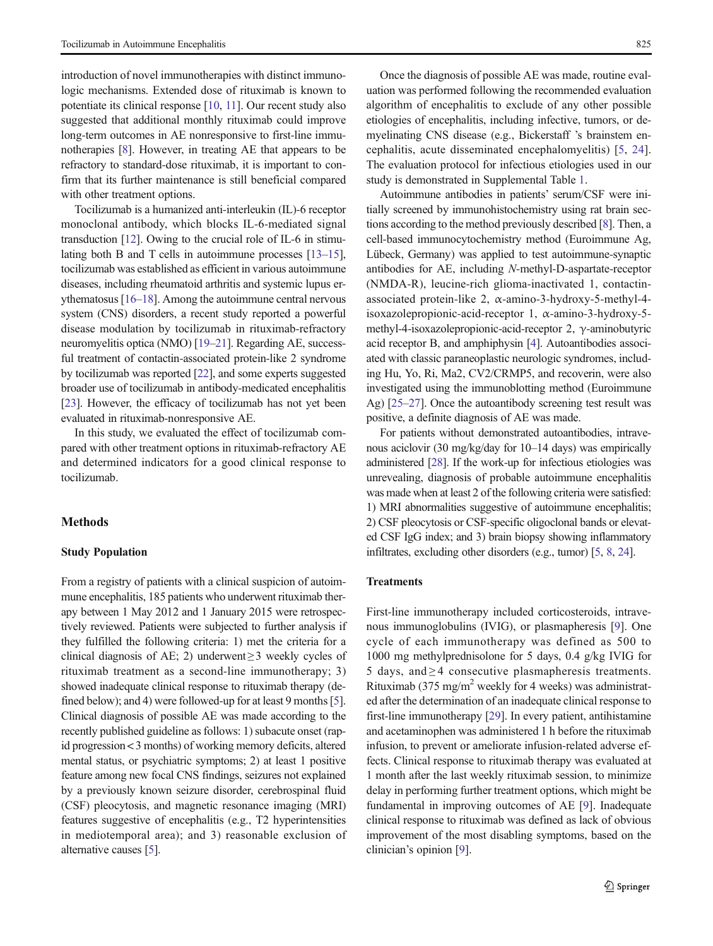introduction of novel immunotherapies with distinct immunologic mechanisms. Extended dose of rituximab is known to potentiate its clinical response [[10](#page-8-0), [11\]](#page-8-0). Our recent study also suggested that additional monthly rituximab could improve long-term outcomes in AE nonresponsive to first-line immunotherapies [\[8](#page-8-0)]. However, in treating AE that appears to be refractory to standard-dose rituximab, it is important to confirm that its further maintenance is still beneficial compared with other treatment options.

Tocilizumab is a humanized anti-interleukin (IL)-6 receptor monoclonal antibody, which blocks IL-6-mediated signal transduction [\[12\]](#page-8-0). Owing to the crucial role of IL-6 in stimulating both B and T cells in autoimmune processes [\[13](#page-8-0)–[15\]](#page-8-0), tocilizumab was established as efficient in various autoimmune diseases, including rheumatoid arthritis and systemic lupus erythematosus [\[16](#page-8-0)–[18](#page-8-0)]. Among the autoimmune central nervous system (CNS) disorders, a recent study reported a powerful disease modulation by tocilizumab in rituximab-refractory neuromyelitis optica (NMO) [[19](#page-8-0)–[21\]](#page-8-0). Regarding AE, successful treatment of contactin-associated protein-like 2 syndrome by tocilizumab was reported [[22\]](#page-8-0), and some experts suggested broader use of tocilizumab in antibody-medicated encephalitis [\[23\]](#page-8-0). However, the efficacy of tocilizumab has not yet been evaluated in rituximab-nonresponsive AE.

In this study, we evaluated the effect of tocilizumab compared with other treatment options in rituximab-refractory AE and determined indicators for a good clinical response to tocilizumab.

## Methods

#### Study Population

From a registry of patients with a clinical suspicion of autoimmune encephalitis, 185 patients who underwent rituximab therapy between 1 May 2012 and 1 January 2015 were retrospectively reviewed. Patients were subjected to further analysis if they fulfilled the following criteria: 1) met the criteria for a clinical diagnosis of AE; 2) underwent  $\geq$  3 weekly cycles of rituximab treatment as a second-line immunotherapy; 3) showed inadequate clinical response to rituximab therapy (de-fined below); and 4) were followed-up for at least 9 months [[5\]](#page-8-0). Clinical diagnosis of possible AE was made according to the recently published guideline as follows: 1) subacute onset (rapid progression < 3 months) of working memory deficits, altered mental status, or psychiatric symptoms; 2) at least 1 positive feature among new focal CNS findings, seizures not explained by a previously known seizure disorder, cerebrospinal fluid (CSF) pleocytosis, and magnetic resonance imaging (MRI) features suggestive of encephalitis (e.g., T2 hyperintensities in mediotemporal area); and 3) reasonable exclusion of alternative causes [\[5\]](#page-8-0).

Once the diagnosis of possible AE was made, routine evaluation was performed following the recommended evaluation algorithm of encephalitis to exclude of any other possible etiologies of encephalitis, including infective, tumors, or demyelinating CNS disease (e.g., Bickerstaff 's brainstem encephalitis, acute disseminated encephalomyelitis) [[5,](#page-8-0) [24](#page-8-0)]. The evaluation protocol for infectious etiologies used in our study is demonstrated in Supplemental Table 1.

Autoimmune antibodies in patients' serum/CSF were initially screened by immunohistochemistry using rat brain sections according to the method previously described [[8](#page-8-0)]. Then, a cell-based immunocytochemistry method (Euroimmune Ag, Lübeck, Germany) was applied to test autoimmune-synaptic antibodies for AE, including N-methyl-D-aspartate-receptor (NMDA-R), leucine-rich glioma-inactivated 1, contactinassociated protein-like 2,  $\alpha$ -amino-3-hydroxy-5-methyl-4isoxazolepropionic-acid-receptor 1, α-amino-3-hydroxy-5 methyl-4-isoxazolepropionic-acid-receptor 2, γ-aminobutyric acid receptor B, and amphiphysin [\[4](#page-8-0)]. Autoantibodies associated with classic paraneoplastic neurologic syndromes, including Hu, Yo, Ri, Ma2, CV2/CRMP5, and recoverin, were also investigated using the immunoblotting method (Euroimmune Ag) [\[25](#page-8-0)–[27](#page-8-0)]. Once the autoantibody screening test result was positive, a definite diagnosis of AE was made.

For patients without demonstrated autoantibodies, intravenous aciclovir (30 mg/kg/day for 10–14 days) was empirically administered [\[28\]](#page-8-0). If the work-up for infectious etiologies was unrevealing, diagnosis of probable autoimmune encephalitis was made when at least 2 of the following criteria were satisfied: 1) MRI abnormalities suggestive of autoimmune encephalitis; 2) CSF pleocytosis or CSF-specific oligoclonal bands or elevated CSF IgG index; and 3) brain biopsy showing inflammatory infiltrates, excluding other disorders (e.g., tumor) [\[5,](#page-8-0) [8](#page-8-0), [24\]](#page-8-0).

## **Treatments**

First-line immunotherapy included corticosteroids, intravenous immunoglobulins (IVIG), or plasmapheresis [\[9](#page-8-0)]. One cycle of each immunotherapy was defined as 500 to 1000 mg methylprednisolone for 5 days, 0.4 g/kg IVIG for 5 days, and  $\geq$  4 consecutive plasmapheresis treatments. Rituximab (375 mg/m<sup>2</sup> weekly for 4 weeks) was administrated after the determination of an inadequate clinical response to first-line immunotherapy [[29](#page-8-0)]. In every patient, antihistamine and acetaminophen was administered 1 h before the rituximab infusion, to prevent or ameliorate infusion-related adverse effects. Clinical response to rituximab therapy was evaluated at 1 month after the last weekly rituximab session, to minimize delay in performing further treatment options, which might be fundamental in improving outcomes of AE [\[9](#page-8-0)]. Inadequate clinical response to rituximab was defined as lack of obvious improvement of the most disabling symptoms, based on the clinician's opinion [[9\]](#page-8-0).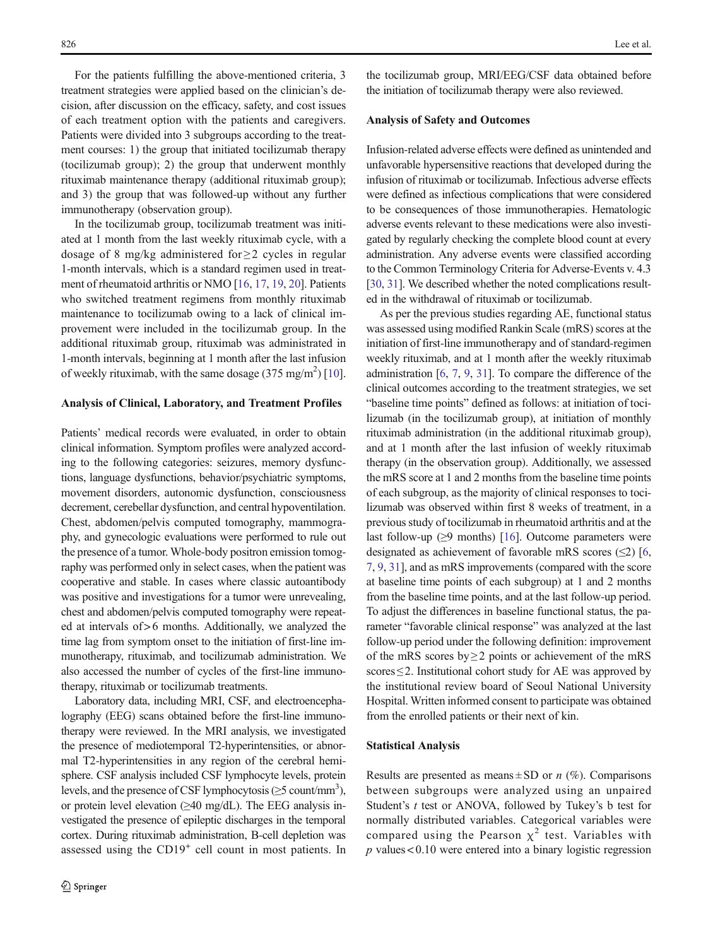For the patients fulfilling the above-mentioned criteria, 3 treatment strategies were applied based on the clinician's decision, after discussion on the efficacy, safety, and cost issues of each treatment option with the patients and caregivers. Patients were divided into 3 subgroups according to the treatment courses: 1) the group that initiated tocilizumab therapy (tocilizumab group); 2) the group that underwent monthly rituximab maintenance therapy (additional rituximab group); and 3) the group that was followed-up without any further immunotherapy (observation group).

In the tocilizumab group, tocilizumab treatment was initiated at 1 month from the last weekly rituximab cycle, with a dosage of 8 mg/kg administered for  $\geq$  2 cycles in regular 1-month intervals, which is a standard regimen used in treatment of rheumatoid arthritis or NMO [\[16](#page-8-0), [17,](#page-8-0) [19,](#page-8-0) [20](#page-8-0)]. Patients who switched treatment regimens from monthly rituximab maintenance to tocilizumab owing to a lack of clinical improvement were included in the tocilizumab group. In the additional rituximab group, rituximab was administrated in 1-month intervals, beginning at 1 month after the last infusion of weekly rituximab, with the same dosage  $(375 \text{ mg/m}^2)$  [[10\]](#page-8-0).

## Analysis of Clinical, Laboratory, and Treatment Profiles

Patients' medical records were evaluated, in order to obtain clinical information. Symptom profiles were analyzed according to the following categories: seizures, memory dysfunctions, language dysfunctions, behavior/psychiatric symptoms, movement disorders, autonomic dysfunction, consciousness decrement, cerebellar dysfunction, and central hypoventilation. Chest, abdomen/pelvis computed tomography, mammography, and gynecologic evaluations were performed to rule out the presence of a tumor. Whole-body positron emission tomography was performed only in select cases, when the patient was cooperative and stable. In cases where classic autoantibody was positive and investigations for a tumor were unrevealing, chest and abdomen/pelvis computed tomography were repeated at intervals of > 6 months. Additionally, we analyzed the time lag from symptom onset to the initiation of first-line immunotherapy, rituximab, and tocilizumab administration. We also accessed the number of cycles of the first-line immunotherapy, rituximab or tocilizumab treatments.

Laboratory data, including MRI, CSF, and electroencephalography (EEG) scans obtained before the first-line immunotherapy were reviewed. In the MRI analysis, we investigated the presence of mediotemporal T2-hyperintensities, or abnormal T2-hyperintensities in any region of the cerebral hemisphere. CSF analysis included CSF lymphocyte levels, protein levels, and the presence of CSF lymphocytosis ( $\geq$ 5 count/mm<sup>3</sup>), or protein level elevation  $(\geq 40 \text{ mg/dL})$ . The EEG analysis investigated the presence of epileptic discharges in the temporal cortex. During rituximab administration, B-cell depletion was assessed using the CD19<sup>+</sup> cell count in most patients. In

the tocilizumab group, MRI/EEG/CSF data obtained before the initiation of tocilizumab therapy were also reviewed.

#### Analysis of Safety and Outcomes

Infusion-related adverse effects were defined as unintended and unfavorable hypersensitive reactions that developed during the infusion of rituximab or tocilizumab. Infectious adverse effects were defined as infectious complications that were considered to be consequences of those immunotherapies. Hematologic adverse events relevant to these medications were also investigated by regularly checking the complete blood count at every administration. Any adverse events were classified according to the Common Terminology Criteria for Adverse-Events v. 4.3 [\[30,](#page-8-0) [31](#page-8-0)]. We described whether the noted complications resulted in the withdrawal of rituximab or tocilizumab.

As per the previous studies regarding AE, functional status was assessed using modified Rankin Scale (mRS) scores at the initiation of first-line immunotherapy and of standard-regimen weekly rituximab, and at 1 month after the weekly rituximab administration [\[6](#page-8-0), [7,](#page-8-0) [9,](#page-8-0) [31\]](#page-8-0). To compare the difference of the clinical outcomes according to the treatment strategies, we set "baseline time points" defined as follows: at initiation of tocilizumab (in the tocilizumab group), at initiation of monthly rituximab administration (in the additional rituximab group), and at 1 month after the last infusion of weekly rituximab therapy (in the observation group). Additionally, we assessed the mRS score at 1 and 2 months from the baseline time points of each subgroup, as the majority of clinical responses to tocilizumab was observed within first 8 weeks of treatment, in a previous study of tocilizumab in rheumatoid arthritis and at the last follow-up  $(≥9$  months) [[16\]](#page-8-0). Outcome parameters were designated as achievement of favorable mRS scores  $(\leq 2)$  [[6,](#page-8-0) [7](#page-8-0), [9](#page-8-0), [31\]](#page-8-0), and as mRS improvements (compared with the score at baseline time points of each subgroup) at 1 and 2 months from the baseline time points, and at the last follow-up period. To adjust the differences in baseline functional status, the parameter "favorable clinical response" was analyzed at the last follow-up period under the following definition: improvement of the mRS scores by  $\geq$  2 points or achievement of the mRS scores ≤ 2. Institutional cohort study for AE was approved by the institutional review board of Seoul National University Hospital. Written informed consent to participate was obtained from the enrolled patients or their next of kin.

## Statistical Analysis

Results are presented as means  $\pm$  SD or *n* (%). Comparisons between subgroups were analyzed using an unpaired Student's t test or ANOVA, followed by Tukey's b test for normally distributed variables. Categorical variables were compared using the Pearson  $\chi^2$  test. Variables with  $p$  values < 0.10 were entered into a binary logistic regression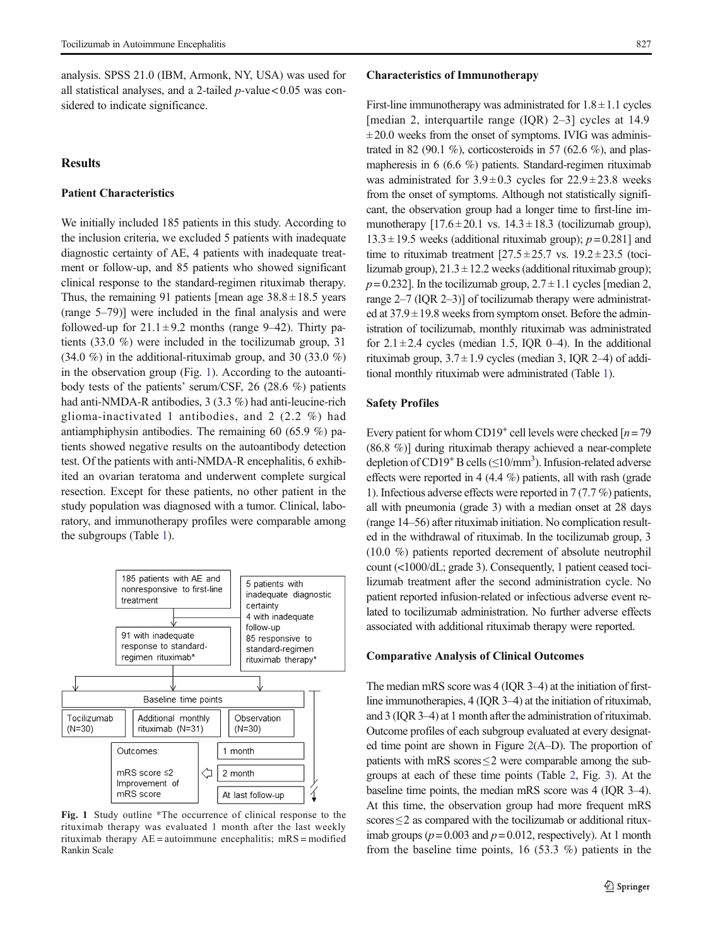analysis. SPSS 21.0 (IBM, Armonk, NY, USA) was used for all statistical analyses, and a 2-tailed  $p$ -value < 0.05 was considered to indicate significance.

## **Results**

## Patient Characteristics

We initially included 185 patients in this study. According to the inclusion criteria, we excluded 5 patients with inadequate diagnostic certainty of AE, 4 patients with inadequate treatment or follow-up, and 85 patients who showed significant clinical response to the standard-regimen rituximab therapy. Thus, the remaining 91 patients [mean age  $38.8 \pm 18.5$  years (range 5–79)] were included in the final analysis and were followed-up for  $21.1 \pm 9.2$  months (range 9–42). Thirty patients (33.0 %) were included in the tocilizumab group, 31 (34.0 %) in the additional-rituximab group, and 30 (33.0 %) in the observation group (Fig. 1). According to the autoantibody tests of the patients' serum/CSF, 26 (28.6 %) patients had anti-NMDA-R antibodies, 3 (3.3 %) had anti-leucine-rich glioma-inactivated 1 antibodies, and 2 (2.2 %) had antiamphiphysin antibodies. The remaining 60 (65.9 %) patients showed negative results on the autoantibody detection test. Of the patients with anti-NMDA-R encephalitis, 6 exhibited an ovarian teratoma and underwent complete surgical resection. Except for these patients, no other patient in the study population was diagnosed with a tumor. Clinical, laboratory, and immunotherapy profiles were comparable among the subgroups (Table [1](#page-4-0)).



Fig. 1 Study outline \*The occurrence of clinical response to the rituximab therapy was evaluated 1 month after the last weekly rituximab therapy AE = autoimmune encephalitis; mRS = modified Rankin Scale

#### Characteristics of Immunotherapy

First-line immunotherapy was administrated for  $1.8 \pm 1.1$  cycles [median 2, interquartile range (IQR) 2–3] cycles at 14.9  $\pm 20.0$  weeks from the onset of symptoms. IVIG was administrated in 82 (90.1 %), corticosteroids in 57 (62.6 %), and plasmapheresis in 6 (6.6 %) patients. Standard-regimen rituximab was administrated for  $3.9 \pm 0.3$  cycles for  $22.9 \pm 23.8$  weeks from the onset of symptoms. Although not statistically significant, the observation group had a longer time to first-line immunotherapy  $[17.6 \pm 20.1$  vs.  $14.3 \pm 18.3$  (tocilizumab group),  $13.3 \pm 19.5$  weeks (additional rituximab group);  $p = 0.281$ ] and time to rituximab treatment  $[27.5 \pm 25.7 \text{ vs. } 19.2 \pm 23.5 \text{ (toci-}$ lizumab group),  $21.3 \pm 12.2$  weeks (additional rituximab group);  $p= 0.232$ ]. In the tocilizumab group,  $2.7 \pm 1.1$  cycles [median 2, range 2–7 (IQR 2–3)] of tocilizumab therapy were administrated at  $37.9 \pm 19.8$  weeks from symptom onset. Before the administration of tocilizumab, monthly rituximab was administrated for  $2.1 \pm 2.4$  cycles (median 1.5, IQR 0–4). In the additional rituximab group,  $3.7 \pm 1.9$  cycles (median 3, IQR 2–4) of additional monthly rituximab were administrated (Table [1](#page-4-0)).

## Safety Profiles

Every patient for whom CD19<sup>+</sup> cell levels were checked  $[n=79]$ (86.8 %)] during rituximab therapy achieved a near-complete depletion of CD19<sup>+</sup> B cells ( $\leq$ 10/mm<sup>3</sup>). Infusion-related adverse effects were reported in 4 (4.4 %) patients, all with rash (grade 1). Infectious adverse effects were reported in 7 (7.7 %) patients, all with pneumonia (grade 3) with a median onset at 28 days (range 14–56) after rituximab initiation. No complication resulted in the withdrawal of rituximab. In the tocilizumab group, 3 (10.0 %) patients reported decrement of absolute neutrophil count (<1000/dL; grade 3). Consequently, 1 patient ceased tocilizumab treatment after the second administration cycle. No patient reported infusion-related or infectious adverse event related to tocilizumab administration. No further adverse effects associated with additional rituximab therapy were reported.

#### Comparative Analysis of Clinical Outcomes

The median mRS score was 4 (IQR 3–4) at the initiation of firstline immunotherapies, 4 (IQR 3–4) at the initiation of rituximab, and 3 (IQR 3–4) at 1 month after the administration of rituximab. Outcome profiles of each subgroup evaluated at every designated time point are shown in Figure [2\(](#page-5-0)A–D). The proportion of patients with mRS scores  $\leq$  2 were comparable among the subgroups at each of these time points (Table [2,](#page-6-0) Fig. [3](#page-7-0)). At the baseline time points, the median mRS score was 4 (IQR 3–4). At this time, the observation group had more frequent mRS scores $\leq$  2 as compared with the tocilizumab or additional rituximab groups ( $p = 0.003$  and  $p = 0.012$ , respectively). At 1 month from the baseline time points, 16 (53.3 %) patients in the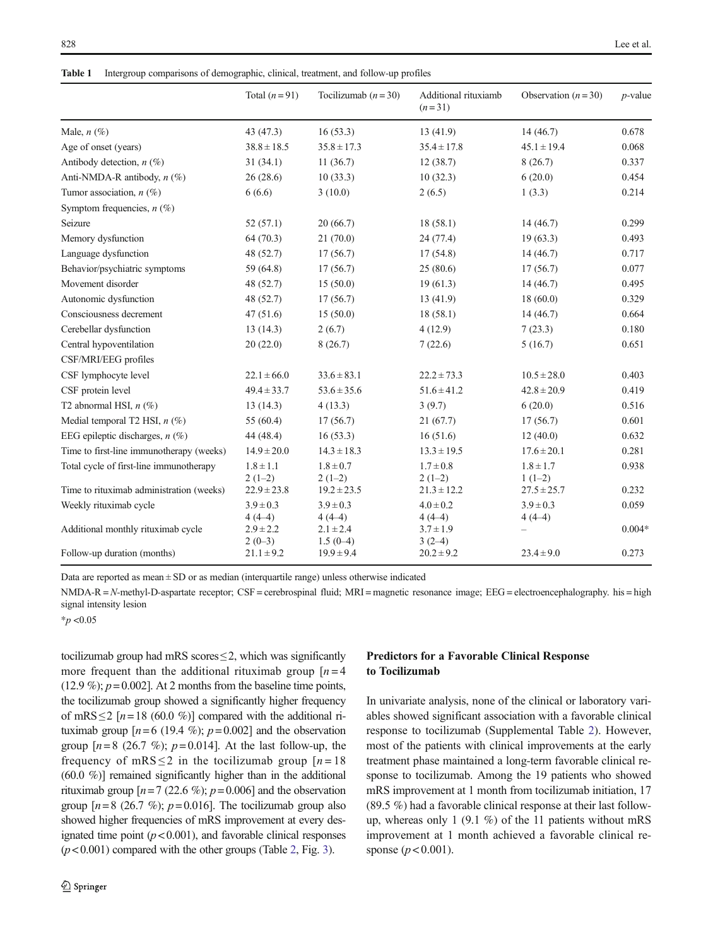<span id="page-4-0"></span>

|                                          | Total $(n=91)$            | Tocilizumab $(n=30)$        | Additional rituxiamb<br>$(n=31)$ | Observation $(n=30)$      | $p$ -value |  |
|------------------------------------------|---------------------------|-----------------------------|----------------------------------|---------------------------|------------|--|
| Male, $n(\%)$                            | 43 (47.3)                 | 16(53.3)                    | 13(41.9)                         | 14 (46.7)                 | 0.678      |  |
| Age of onset (years)                     | $38.8 \pm 18.5$           | $35.8 \pm 17.3$             | $35.4 \pm 17.8$                  | $45.1 \pm 19.4$           | 0.068      |  |
| Antibody detection, $n$ (%)              | 31(34.1)                  | 11(36.7)                    | 12(38.7)                         | 8(26.7)                   | 0.337      |  |
| Anti-NMDA-R antibody, n (%)              | 26(28.6)                  | 10(33.3)                    | 10(32.3)                         | 6(20.0)                   | 0.454      |  |
| Tumor association, $n$ (%)               | 6(6.6)                    | 3(10.0)                     | 2(6.5)                           | 1(3.3)                    | 0.214      |  |
| Symptom frequencies, $n$ (%)             |                           |                             |                                  |                           |            |  |
| Seizure                                  | 52(57.1)                  | 20(66.7)                    | 18(58.1)                         | 14(46.7)                  | 0.299      |  |
| Memory dysfunction                       | 64 (70.3)                 | 21(70.0)                    | 24 (77.4)                        | 19(63.3)                  | 0.493      |  |
| Language dysfunction                     | 48 (52.7)                 | 17(56.7)                    | 17(54.8)                         | 14(46.7)                  | 0.717      |  |
| Behavior/psychiatric symptoms            | 59 (64.8)                 | 17(56.7)                    | 25(80.6)                         | 17(56.7)                  | 0.077      |  |
| Movement disorder                        | 48 (52.7)                 | 15(50.0)                    | 19(61.3)                         | 14(46.7)                  | 0.495      |  |
| Autonomic dysfunction                    | 48 (52.7)                 | 17(56.7)                    | 13(41.9)                         | 18(60.0)                  | 0.329      |  |
| Consciousness decrement                  | 47(51.6)                  | 15(50.0)                    | 18(58.1)                         | 14(46.7)                  | 0.664      |  |
| Cerebellar dysfunction                   | 13(14.3)                  | 2(6.7)                      | 4(12.9)                          | 7(23.3)                   | 0.180      |  |
| Central hypoventilation                  | 20(22.0)                  | 8(26.7)                     | 7(22.6)                          | 5(16.7)                   | 0.651      |  |
| CSF/MRI/EEG profiles                     |                           |                             |                                  |                           |            |  |
| CSF lymphocyte level                     | $22.1 \pm 66.0$           | $33.6 \pm 83.1$             | $22.2 \pm 73.3$                  | $10.5 \pm 28.0$           | 0.403      |  |
| CSF protein level                        | $49.4 \pm 33.7$           | $53.6 \pm 35.6$             | $51.6 \pm 41.2$                  | $42.8 \pm 20.9$           | 0.419      |  |
| T2 abnormal HSI, $n$ (%)                 | 13(14.3)                  | 4(13.3)                     | 3(9.7)                           | 6(20.0)                   | 0.516      |  |
| Medial temporal T2 HSI, $n$ (%)          | 55 (60.4)                 | 17(56.7)                    | 21 (67.7)                        | 17(56.7)                  | 0.601      |  |
| EEG epileptic discharges, $n$ (%)        | 44 (48.4)                 | 16(53.3)                    | 16(51.6)                         | 12(40.0)                  | 0.632      |  |
| Time to first-line immunotherapy (weeks) | $14.9 \pm 20.0$           | $14.3 \pm 18.3$             | $13.3 \pm 19.5$                  | $17.6 \pm 20.1$           | 0.281      |  |
| Total cycle of first-line immunotherapy  | $1.8 \pm 1.1$<br>$2(1-2)$ | $1.8 \pm 0.7$<br>$2(1-2)$   | $1.7 \pm 0.8$<br>$2(1-2)$        | $1.8 \pm 1.7$<br>$1(1-2)$ | 0.938      |  |
| Time to rituximab administration (weeks) | $22.9 \pm 23.8$           | $19.2 \pm 23.5$             | $21.3 \pm 12.2$                  | $27.5 \pm 25.7$           | 0.232      |  |
| Weekly rituximab cycle                   | $3.9 \pm 0.3$<br>$4(4-4)$ | $3.9 \pm 0.3$<br>$4(4-4)$   | $4.0 \pm 0.2$<br>$4(4-4)$        | $3.9 \pm 0.3$<br>$4(4-4)$ | 0.059      |  |
| Additional monthly rituximab cycle       | $2.9 \pm 2.2$<br>$2(0-3)$ | $2.1 \pm 2.4$<br>$1.5(0-4)$ | $3.7 \pm 1.9$<br>$3(2-4)$        |                           | $0.004*$   |  |
| Follow-up duration (months)              | $21.1 \pm 9.2$            | $19.9 \pm 9.4$              | $20.2 \pm 9.2$                   | $23.4 \pm 9.0$            | 0.273      |  |

Data are reported as mean  $\pm$  SD or as median (interquartile range) unless otherwise indicated

NMDA-R = N-methyl-D-aspartate receptor; CSF = cerebrospinal fluid; MRI = magnetic resonance image; EEG = electroencephalography. his = high signal intensity lesion

 $*_{p < 0.05}$ 

tocilizumab group had mRS scores  $\leq$ 2, which was significantly more frequent than the additional rituximab group  $[n=4]$  $(12.9\%)$ ;  $p=0.002$ ]. At 2 months from the baseline time points, the tocilizumab group showed a significantly higher frequency of mRS  $\leq$  2 [n = 18 (60.0 %)] compared with the additional rituximab group  $[n=6 (19.4 \%); p=0.002]$  and the observation group  $[n=8 (26.7 \%)$ ;  $p=0.014$ ]. At the last follow-up, the frequency of mRS  $\leq$  2 in the tocilizumab group [n = 18 (60.0 %)] remained significantly higher than in the additional rituximab group  $[n=7 (22.6 \%); p=0.006]$  and the observation group  $[n=8 (26.7 \%)$ ;  $p=0.016$ ]. The tocilizumab group also showed higher frequencies of mRS improvement at every designated time point  $(p<0.001)$ , and favorable clinical responses  $(p<0.001)$  compared with the other groups (Table [2](#page-6-0), Fig. [3](#page-7-0)).

# Predictors for a Favorable Clinical Response to Tocilizumab

In univariate analysis, none of the clinical or laboratory variables showed significant association with a favorable clinical response to tocilizumab (Supplemental Table 2). However, most of the patients with clinical improvements at the early treatment phase maintained a long-term favorable clinical response to tocilizumab. Among the 19 patients who showed mRS improvement at 1 month from tocilizumab initiation, 17 (89.5 %) had a favorable clinical response at their last followup, whereas only 1 (9.1 %) of the 11 patients without mRS improvement at 1 month achieved a favorable clinical response ( $p < 0.001$ ).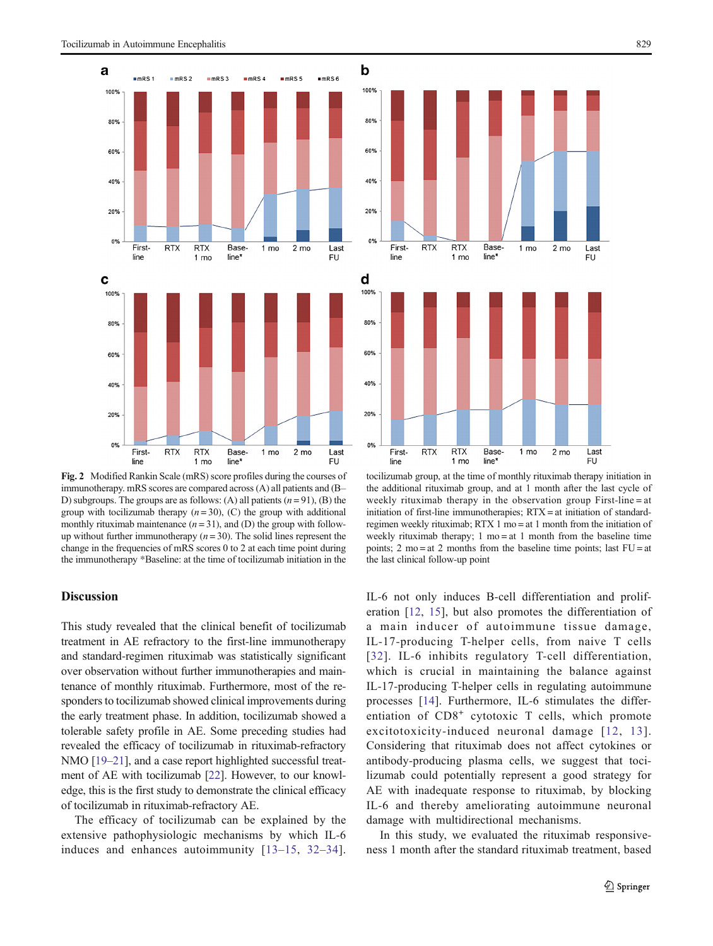<span id="page-5-0"></span>

Fig. 2 Modified Rankin Scale (mRS) score profiles during the courses of immunotherapy. mRS scores are compared across (A) all patients and (B– D) subgroups. The groups are as follows: (A) all patients  $(n = 91)$ , (B) the group with tocilizumab therapy  $(n=30)$ , (C) the group with additional monthly rituximab maintenance  $(n=31)$ , and (D) the group with followup without further immunotherapy  $(n = 30)$ . The solid lines represent the change in the frequencies of mRS scores 0 to 2 at each time point during the immunotherapy \*Baseline: at the time of tocilizumab initiation in the

# Discussion

This study revealed that the clinical benefit of tocilizumab treatment in AE refractory to the first-line immunotherapy and standard-regimen rituximab was statistically significant over observation without further immunotherapies and maintenance of monthly rituximab. Furthermore, most of the responders to tocilizumab showed clinical improvements during the early treatment phase. In addition, tocilizumab showed a tolerable safety profile in AE. Some preceding studies had revealed the efficacy of tocilizumab in rituximab-refractory NMO [[19](#page-8-0)–[21](#page-8-0)], and a case report highlighted successful treatment of AE with tocilizumab [\[22](#page-8-0)]. However, to our knowledge, this is the first study to demonstrate the clinical efficacy of tocilizumab in rituximab-refractory AE.

The efficacy of tocilizumab can be explained by the extensive pathophysiologic mechanisms by which IL-6 induces and enhances autoimmunity [[13](#page-8-0)–[15](#page-8-0), [32](#page-8-0)–[34](#page-8-0)].



tocilizumab group, at the time of monthly rituximab therapy initiation in the additional rituximab group, and at 1 month after the last cycle of weekly rituximab therapy in the observation group First-line = at initiation of first-line immunotherapies;  $RTX = at$  initiation of standardregimen weekly rituximab; RTX 1 mo = at 1 month from the initiation of weekly rituximab therapy;  $1 \text{ mo} = \text{at} 1 \text{ month from the baseline time}$ points;  $2 \text{ mo} = at 2 \text{ months from the baseline time points; last FU} = at$ the last clinical follow-up point

IL-6 not only induces B-cell differentiation and proliferation [[12,](#page-8-0) [15\]](#page-8-0), but also promotes the differentiation of a main inducer of autoimmune tissue damage, IL-17-producing T-helper cells, from naive T cells [[32\]](#page-8-0). IL-6 inhibits regulatory T-cell differentiation, which is crucial in maintaining the balance against IL-17-producing T-helper cells in regulating autoimmune processes [\[14](#page-8-0)]. Furthermore, IL-6 stimulates the differentiation of  $CDS<sup>+</sup>$  cytotoxic T cells, which promote excitotoxicity-induced neuronal damage [[12](#page-8-0), [13\]](#page-8-0). Considering that rituximab does not affect cytokines or antibody-producing plasma cells, we suggest that tocilizumab could potentially represent a good strategy for AE with inadequate response to rituximab, by blocking IL-6 and thereby ameliorating autoimmune neuronal damage with multidirectional mechanisms.

In this study, we evaluated the rituximab responsiveness 1 month after the standard rituximab treatment, based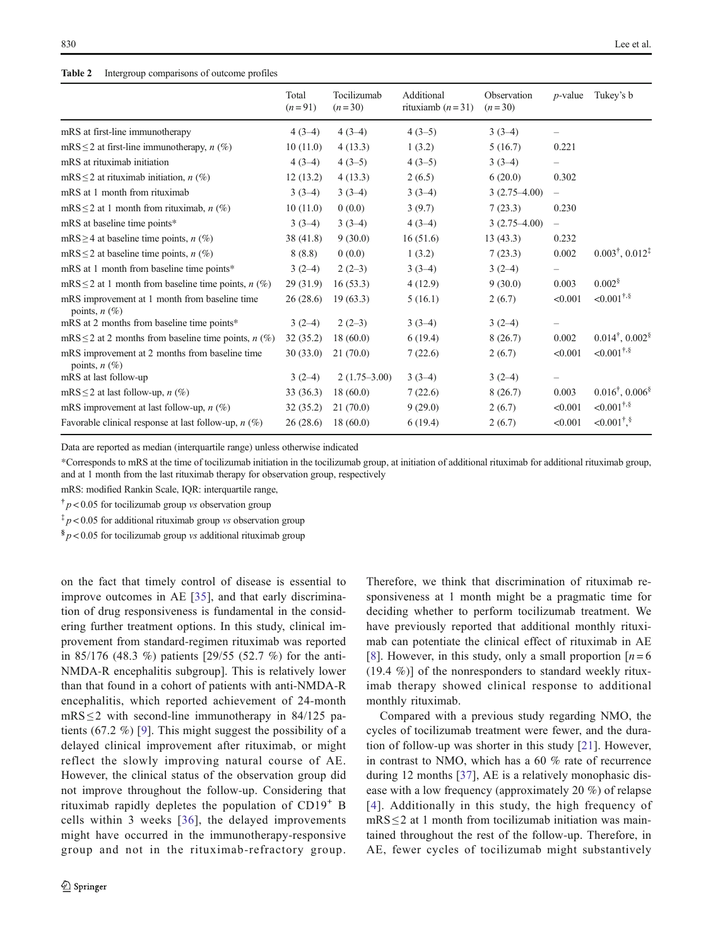## <span id="page-6-0"></span>Table 2 Intergroup comparisons of outcome profiles

|                                                                   | Total<br>$(n=91)$ | Tocilizumab<br>$(n=30)$ | Additional<br>rituxiamb $(n=31)$ | Observation<br>$(n=30)$ | $p$ -value               | Tukey's b                           |
|-------------------------------------------------------------------|-------------------|-------------------------|----------------------------------|-------------------------|--------------------------|-------------------------------------|
| mRS at first-line immunotherapy                                   | $4(3-4)$          | $4(3-4)$                | $4(3-5)$                         | $3(3-4)$                |                          |                                     |
| mRS $\leq$ 2 at first-line immunotherapy, <i>n</i> (%)            | 10(11.0)          | 4(13.3)                 | 1(3.2)                           | 5(16.7)                 | 0.221                    |                                     |
| mRS at rituximab initiation                                       | $4(3-4)$          | $4(3-5)$                | $4(3-5)$                         | $3(3-4)$                | $\qquad \qquad -$        |                                     |
| mRS $\leq$ 2 at rituximab initiation, <i>n</i> (%)                | 12(13.2)          | 4(13.3)                 | 2(6.5)                           | 6(20.0)                 | 0.302                    |                                     |
| mRS at 1 month from rituximab                                     | $3(3-4)$          | $3(3-4)$                | $3(3-4)$                         | $3(2.75-4.00)$          | $\overline{\phantom{m}}$ |                                     |
| mRS $\leq$ 2 at 1 month from rituximab, <i>n</i> (%)              | 10(11.0)          | 0(0.0)                  | 3(9.7)                           | 7(23.3)                 | 0.230                    |                                     |
| mRS at baseline time points*                                      | $3(3-4)$          | $3(3-4)$                | $4(3-4)$                         | $3(2.75-4.00)$          | $\overline{\phantom{0}}$ |                                     |
| mRS $\geq$ 4 at baseline time points, <i>n</i> (%)                | 38(41.8)          | 9(30.0)                 | 16(51.6)                         | 13(43.3)                | 0.232                    |                                     |
| mRS $\leq$ 2 at baseline time points, <i>n</i> (%)                | 8(8.8)            | 0(0.0)                  | 1(3.2)                           | 7(23.3)                 | 0.002                    | $0.003^{\dagger}, 0.012^{\ddagger}$ |
| mRS at 1 month from baseline time points*                         | $3(2-4)$          | $2(2-3)$                | $3(3-4)$                         | $3(2-4)$                |                          |                                     |
| mRS $\leq$ 2 at 1 month from baseline time points, <i>n</i> (%)   | 29(31.9)          | 16(53.3)                | 4(12.9)                          | 9(30.0)                 | 0.003                    | $0.002^8$                           |
| mRS improvement at 1 month from baseline time<br>points, $n(\%)$  | 26(28.6)          | 19(63.3)                | 5(16.1)                          | 2(6.7)                  | < 0.001                  | $< 0.001$ <sup>†,§</sup>            |
| mRS at 2 months from baseline time points*                        | $3(2-4)$          | $2(2-3)$                | $3(3-4)$                         | $3(2-4)$                |                          |                                     |
| mRS $\leq$ 2 at 2 months from baseline time points, <i>n</i> (%)  | 32(35.2)          | 18(60.0)                | 6(19.4)                          | 8(26.7)                 | 0.002                    | $0.014^{\dagger}, 0.002^{\S}$       |
| mRS improvement at 2 months from baseline time<br>points, $n(\%)$ | 30(33.0)          | 21(70.0)                | 7(22.6)                          | 2(6.7)                  | < 0.001                  | $< 0.001$ <sup>†,§</sup>            |
| mRS at last follow-up                                             | $3(2-4)$          | $2(1.75-3.00)$          | $3(3-4)$                         | $3(2-4)$                | $\overline{\phantom{0}}$ |                                     |
| mRS $\leq$ 2 at last follow-up, <i>n</i> (%)                      | 33(36.3)          | 18(60.0)                | 7(22.6)                          | 8(26.7)                 | 0.003                    | $0.016^{\dagger}, 0.006^{\S}$       |
| mRS improvement at last follow-up, $n$ (%)                        | 32(35.2)          | 21(70.0)                | 9(29.0)                          | 2(6.7)                  | < 0.001                  | $\leq 0.001^{\dagger.8}$            |
| Favorable clinical response at last follow-up, $n$ (%)            | 26(28.6)          | 18(60.0)                | 6(19.4)                          | 2(6.7)                  | < 0.001                  | $\leq 0.001^{\dagger}$ , \$         |

Data are reported as median (interquartile range) unless otherwise indicated

\*Corresponds to mRS at the time of tocilizumab initiation in the tocilizumab group, at initiation of additional rituximab for additional rituximab group, and at 1 month from the last rituximab therapy for observation group, respectively

mRS: modified Rankin Scale, IQR: interquartile range,

 $\frac{1}{p}$   $\geq$  0.05 for tocilizumab group *vs* observation group

 $\frac{1}{2} p < 0.05$  for additional rituximab group vs observation group

 $\frac{8}{9}$  p < 0.05 for tocilizumab group vs additional rituximab group

on the fact that timely control of disease is essential to improve outcomes in AE [[35\]](#page-8-0), and that early discrimination of drug responsiveness is fundamental in the considering further treatment options. In this study, clinical improvement from standard-regimen rituximab was reported in 85/176 (48.3 %) patients [29/55 (52.7 %) for the anti-NMDA-R encephalitis subgroup]. This is relatively lower than that found in a cohort of patients with anti-NMDA-R encephalitis, which reported achievement of 24-month  $mRS \leq 2$  with second-line immunotherapy in 84/125 patients (67.2 %) [[9](#page-8-0)]. This might suggest the possibility of a delayed clinical improvement after rituximab, or might reflect the slowly improving natural course of AE. However, the clinical status of the observation group did not improve throughout the follow-up. Considering that rituximab rapidly depletes the population of  $CD19<sup>+</sup>$  B cells within 3 weeks [[36](#page-8-0)], the delayed improvements might have occurred in the immunotherapy-responsive group and not in the rituximab-refractory group.

Therefore, we think that discrimination of rituximab responsiveness at 1 month might be a pragmatic time for deciding whether to perform tocilizumab treatment. We have previously reported that additional monthly rituximab can potentiate the clinical effect of rituximab in AE [\[8\]](#page-8-0). However, in this study, only a small proportion  $[n=6]$ (19.4 %)] of the nonresponders to standard weekly rituximab therapy showed clinical response to additional monthly rituximab.

Compared with a previous study regarding NMO, the cycles of tocilizumab treatment were fewer, and the duration of follow-up was shorter in this study [[21](#page-8-0)]. However, in contrast to NMO, which has a 60 % rate of recurrence during 12 months [\[37\]](#page-8-0), AE is a relatively monophasic disease with a low frequency (approximately 20 %) of relapse [[4](#page-8-0)]. Additionally in this study, the high frequency of  $mRS \leq 2$  at 1 month from tocilizumab initiation was maintained throughout the rest of the follow-up. Therefore, in AE, fewer cycles of tocilizumab might substantively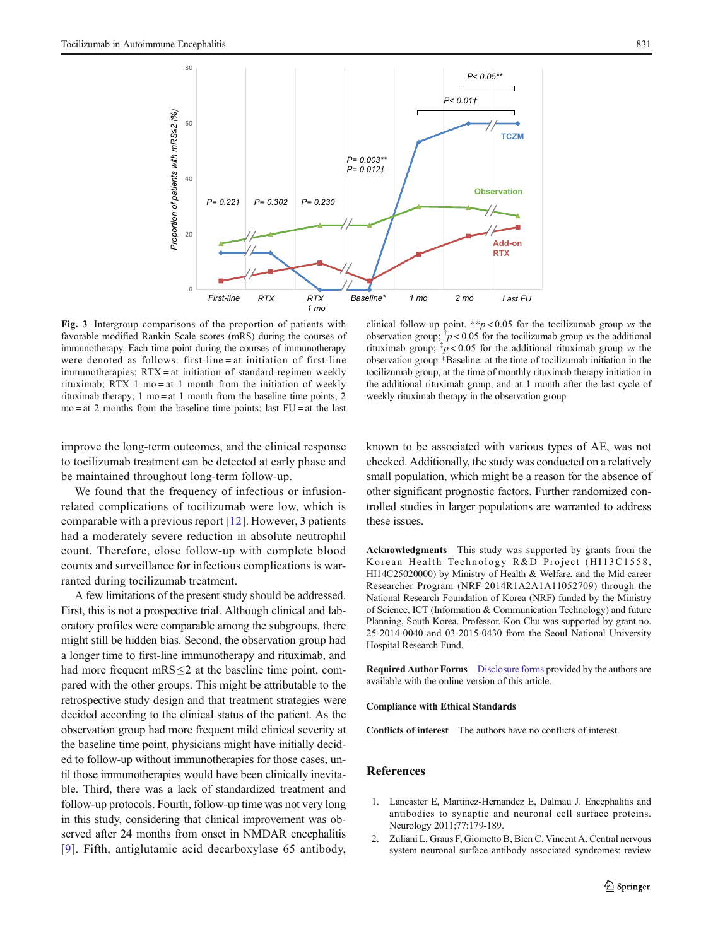<span id="page-7-0"></span>

Fig. 3 Intergroup comparisons of the proportion of patients with favorable modified Rankin Scale scores (mRS) during the courses of immunotherapy. Each time point during the courses of immunotherapy were denoted as follows: first-line = at initiation of first-line immunotherapies; RTX = at initiation of standard-regimen weekly rituximab; RTX 1 mo = at 1 month from the initiation of weekly rituximab therapy; 1 mo = at 1 month from the baseline time points; 2  $mo = at 2$  months from the baseline time points; last  $FU = at$  the last

improve the long-term outcomes, and the clinical response to tocilizumab treatment can be detected at early phase and be maintained throughout long-term follow-up.

We found that the frequency of infectious or infusionrelated complications of tocilizumab were low, which is comparable with a previous report [[12](#page-8-0)]. However, 3 patients had a moderately severe reduction in absolute neutrophil count. Therefore, close follow-up with complete blood counts and surveillance for infectious complications is warranted during tocilizumab treatment.

A few limitations of the present study should be addressed. First, this is not a prospective trial. Although clinical and laboratory profiles were comparable among the subgroups, there might still be hidden bias. Second, the observation group had a longer time to first-line immunotherapy and rituximab, and had more frequent  $mRS \leq 2$  at the baseline time point, compared with the other groups. This might be attributable to the retrospective study design and that treatment strategies were decided according to the clinical status of the patient. As the observation group had more frequent mild clinical severity at the baseline time point, physicians might have initially decided to follow-up without immunotherapies for those cases, until those immunotherapies would have been clinically inevitable. Third, there was a lack of standardized treatment and follow-up protocols. Fourth, follow-up time was not very long in this study, considering that clinical improvement was observed after 24 months from onset in NMDAR encephalitis [\[9\]](#page-8-0). Fifth, antiglutamic acid decarboxylase 65 antibody,

clinical follow-up point. \*\*p < 0.05 for the tocilizumab group vs the observation group;  $\hat{p}$  < 0.05 for the tocilizumab group vs the additional rituximab group;  $\frac{1}{4}p < 0.05$  for the additional rituximab group vs the observation group \*Baseline: at the time of tocilizumab initiation in the tocilizumab group, at the time of monthly rituximab therapy initiation in the additional rituximab group, and at 1 month after the last cycle of weekly rituximab therapy in the observation group

known to be associated with various types of AE, was not checked. Additionally, the study was conducted on a relatively small population, which might be a reason for the absence of other significant prognostic factors. Further randomized controlled studies in larger populations are warranted to address these issues.

Acknowledgments This study was supported by grants from the Korean Health Technology R&D Project (HI13C1558, HI14C25020000) by Ministry of Health & Welfare, and the Mid-career Researcher Program (NRF-2014R1A2A1A11052709) through the National Research Foundation of Korea (NRF) funded by the Ministry of Science, ICT (Information & Communication Technology) and future Planning, South Korea. Professor. Kon Chu was supported by grant no. 25-2014-0040 and 03-2015-0430 from the Seoul National University Hospital Research Fund.

Required Author Forms Disclosure forms provided by the authors are available with the online version of this article.

#### Compliance with Ethical Standards

Conflicts of interest The authors have no conflicts of interest.

# References

- 1. Lancaster E, Martinez-Hernandez E, Dalmau J. Encephalitis and antibodies to synaptic and neuronal cell surface proteins. Neurology 2011;77:179-189.
- 2. Zuliani L, Graus F, Giometto B, Bien C, Vincent A. Central nervous system neuronal surface antibody associated syndromes: review